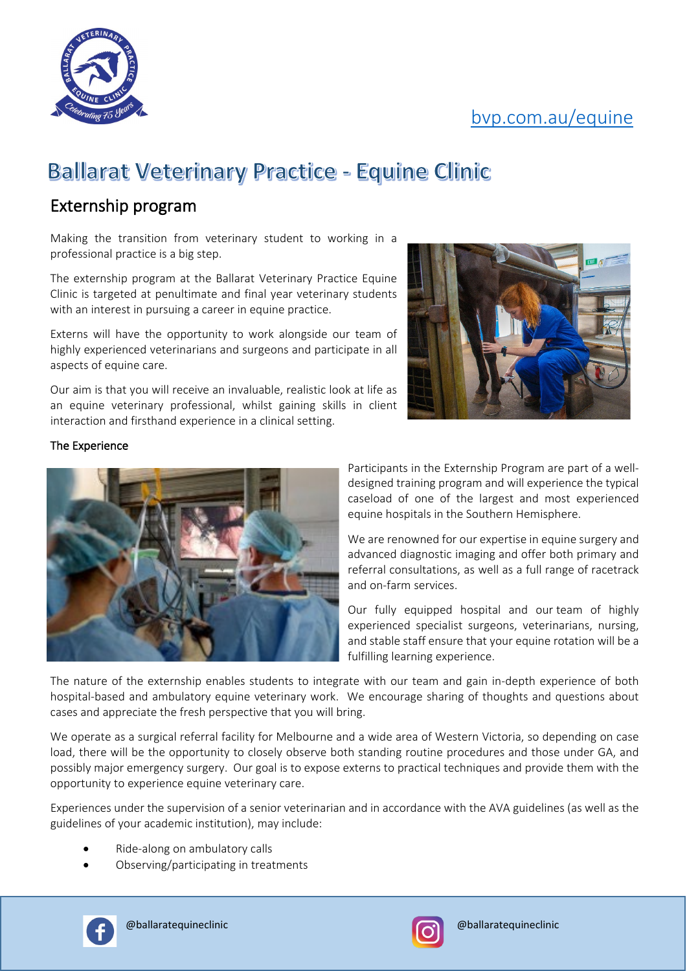# [bvp.com.au/equine](https://bvp.com.au/internships-and-externships.php)



# **Ballarat Veterinary Practice - Equine Clinic**

### Externship program

Making the transition from veterinary student to working in a professional practice is a big step.

The externship program at the Ballarat Veterinary Practice Equine Clinic is targeted at penultimate and final year veterinary students with an interest in pursuing a career in equine practice.

Externs will have the opportunity to work alongside our team of highly experienced veterinarians and surgeons and participate in all aspects of equine care.

Our aim is that you will receive an invaluable, realistic look at life as an equine veterinary professional, whilst gaining skills in client interaction and firsthand experience in a clinical setting.



#### The Experience



Participants in the Externship Program are part of a welldesigned training program and will experience the typical caseload of one of the largest and most experienced equine hospitals in the Southern Hemisphere.

We are renowned for our expertise in equine surgery and advanced diagnostic imaging and offer both primary and referral consultations, as well as a full range of racetrack and on-farm services.

Our fully equipped hospital and our team of highly experienced specialist surgeons, veterinarians, nursing, and stable staff ensure that your equine rotation will be a fulfilling learning experience.

The nature of the externship enables students to integrate with our team and gain in-depth experience of both hospital-based and ambulatory equine veterinary work. We encourage sharing of thoughts and questions about cases and appreciate the fresh perspective that you will bring.

We operate as a surgical referral facility for Melbourne and a wide area of Western Victoria, so depending on case load, there will be the opportunity to closely observe both standing routine procedures and those under GA, and possibly major emergency surgery. Our goal is to expose externs to practical techniques and provide them with the opportunity to experience equine veterinary care.

Experiences under the supervision of a senior veterinarian and in accordance with the AVA guidelines (as well as the guidelines of your academic institution), may include:

- Ride-along on ambulatory calls
- Observing/participating in treatments